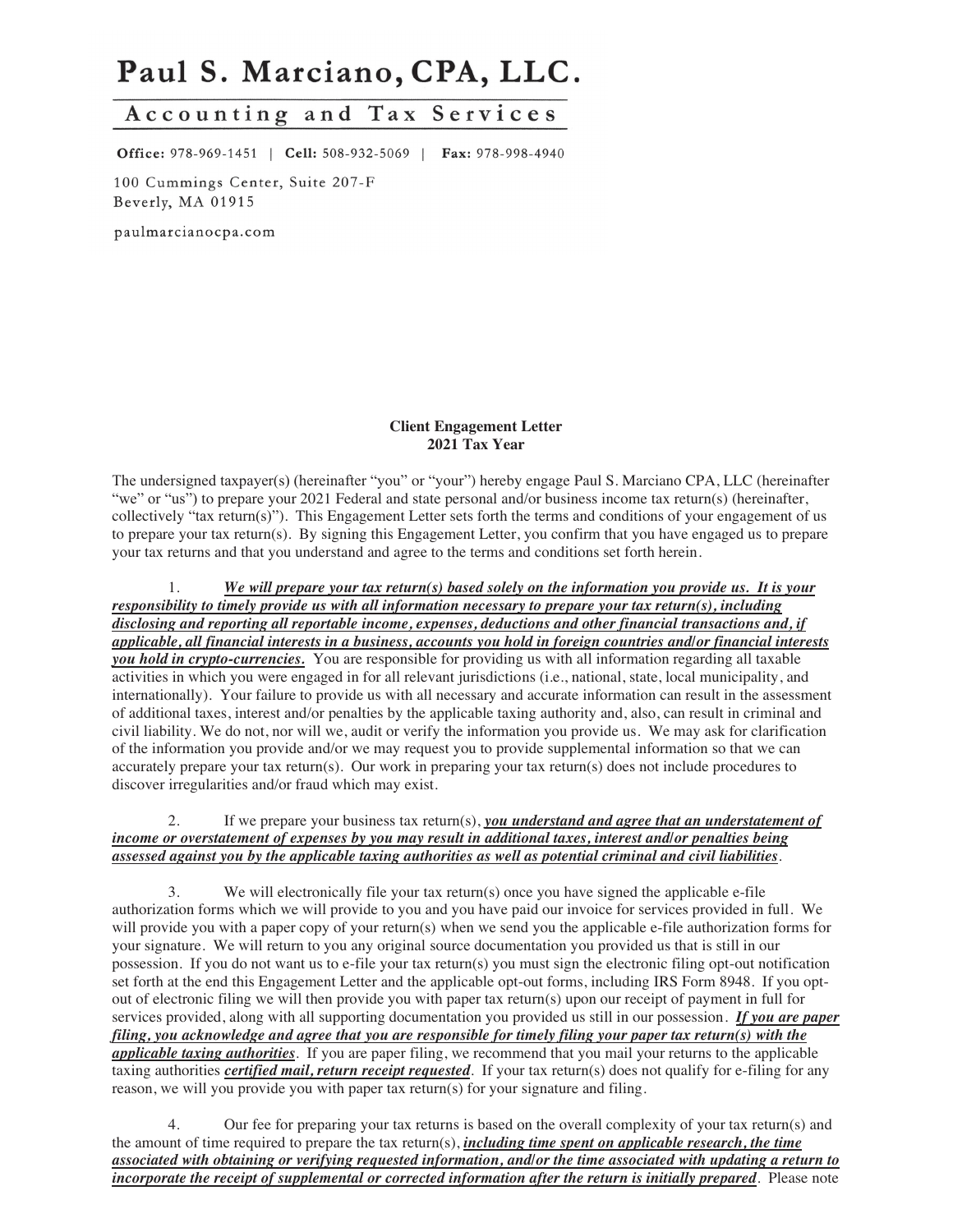# Paul S. Marciano, CPA, LLC.

## Accounting and Tax Services

Office: 978-969-1451 | Cell: 508-932-5069 | Fax: 978-998-4940

100 Cummings Center, Suite 207-F Beverly, MA 01915

paulmarcianocpa.com

#### **Client Engagement Letter 2021 Tax Year**

The undersigned taxpayer(s) (hereinafter "you" or "your") hereby engage Paul S. Marciano CPA, LLC (hereinafter "we" or "us") to prepare your 2021 Federal and state personal and/or business income tax return(s) (hereinafter, collectively "tax return(s)"). This Engagement Letter sets forth the terms and conditions of your engagement of us to prepare your tax return(s). By signing this Engagement Letter, you confirm that you have engaged us to prepare your tax returns and that you understand and agree to the terms and conditions set forth herein.

1. *We will prepare your tax return(s) based solely on the information you provide us. It is your responsibility to timely provide us with all information necessary to prepare your tax return(s), including disclosing and reporting all reportable income, expenses, deductions and other financial transactions and, if applicable, all financial interests in a business, accounts you hold in foreign countries and/or financial interests you hold in crypto-currencies.* You are responsible for providing us with all information regarding all taxable activities in which you were engaged in for all relevant jurisdictions (i.e., national, state, local municipality, and internationally). Your failure to provide us with all necessary and accurate information can result in the assessment of additional taxes, interest and/or penalties by the applicable taxing authority and, also, can result in criminal and civil liability. We do not, nor will we, audit or verify the information you provide us. We may ask for clarification of the information you provide and/or we may request you to provide supplemental information so that we can accurately prepare your tax return(s). Our work in preparing your tax return(s) does not include procedures to discover irregularities and/or fraud which may exist.

#### 2. If we prepare your business tax return(s), *you understand and agree that an understatement of income or overstatement of expenses by you may result in additional taxes, interest and/or penalties being assessed against you by the applicable taxing authorities as well as potential criminal and civil liabilities*.

3. We will electronically file your tax return(s) once you have signed the applicable e-file authorization forms which we will provide to you and you have paid our invoice for services provided in full. We will provide you with a paper copy of your return(s) when we send you the applicable e-file authorization forms for your signature. We will return to you any original source documentation you provided us that is still in our possession. If you do not want us to e-file your tax return(s) you must sign the electronic filing opt-out notification set forth at the end this Engagement Letter and the applicable opt-out forms, including IRS Form 8948. If you optout of electronic filing we will then provide you with paper tax return(s) upon our receipt of payment in full for services provided, along with all supporting documentation you provided us still in our possession. *If you are paper filing, you acknowledge and agree that you are responsible for timely filing your paper tax return(s) with the applicable taxing authorities*. If you are paper filing, we recommend that you mail your returns to the applicable taxing authorities *certified mail, return receipt requested*. If your tax return(s) does not qualify for e-filing for any reason, we will you provide you with paper tax return(s) for your signature and filing.

4. Our fee for preparing your tax returns is based on the overall complexity of your tax return(s) and the amount of time required to prepare the tax return(s), *including time spent on applicable research, the time associated with obtaining or verifying requested information, and/or the time associated with updating a return to incorporate the receipt of supplemental or corrected information after the return is initially prepared*. Please note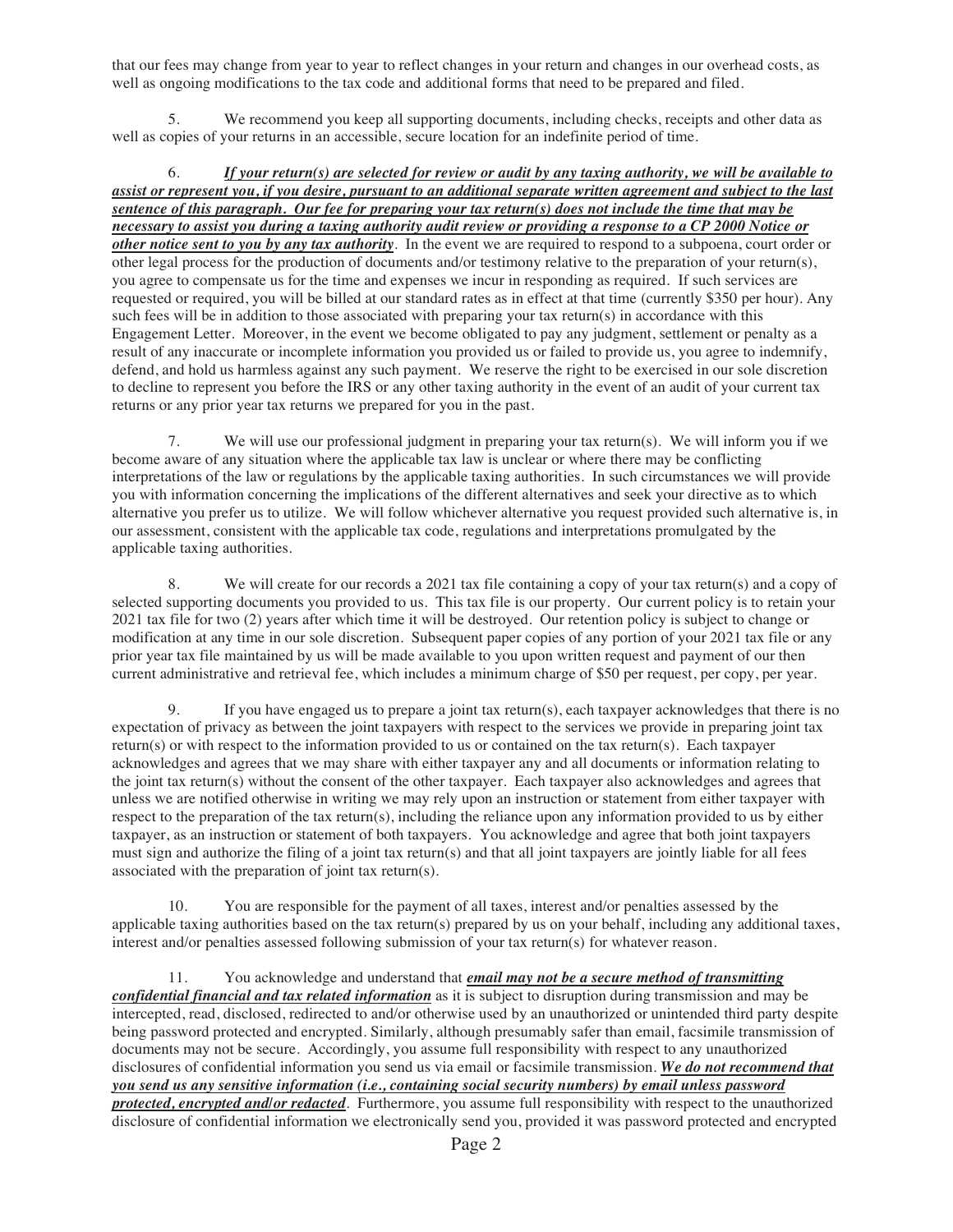that our fees may change from year to year to reflect changes in your return and changes in our overhead costs, as well as ongoing modifications to the tax code and additional forms that need to be prepared and filed.

5. We recommend you keep all supporting documents, including checks, receipts and other data as well as copies of your returns in an accessible, secure location for an indefinite period of time.

6. *If your return(s) are selected for review or audit by any taxing authority, we will be available to assist or represent you, if you desire, pursuant to an additional separate written agreement and subject to the last sentence of this paragraph. Our fee for preparing your tax return(s) does not include the time that may be necessary to assist you during a taxing authority audit review or providing a response to a CP 2000 Notice or other notice sent to you by any tax authority*. In the event we are required to respond to a subpoena, court order or other legal process for the production of documents and/or testimony relative to the preparation of your return(s), you agree to compensate us for the time and expenses we incur in responding as required. If such services are requested or required, you will be billed at our standard rates as in effect at that time (currently \$350 per hour). Any such fees will be in addition to those associated with preparing your tax return(s) in accordance with this Engagement Letter. Moreover, in the event we become obligated to pay any judgment, settlement or penalty as a result of any inaccurate or incomplete information you provided us or failed to provide us, you agree to indemnify, defend, and hold us harmless against any such payment. We reserve the right to be exercised in our sole discretion to decline to represent you before the IRS or any other taxing authority in the event of an audit of your current tax returns or any prior year tax returns we prepared for you in the past.

7. We will use our professional judgment in preparing your tax return(s). We will inform you if we become aware of any situation where the applicable tax law is unclear or where there may be conflicting interpretations of the law or regulations by the applicable taxing authorities. In such circumstances we will provide you with information concerning the implications of the different alternatives and seek your directive as to which alternative you prefer us to utilize. We will follow whichever alternative you request provided such alternative is, in our assessment, consistent with the applicable tax code, regulations and interpretations promulgated by the applicable taxing authorities.

8. We will create for our records a 2021 tax file containing a copy of your tax return(s) and a copy of selected supporting documents you provided to us. This tax file is our property. Our current policy is to retain your 2021 tax file for two (2) years after which time it will be destroyed. Our retention policy is subject to change or modification at any time in our sole discretion. Subsequent paper copies of any portion of your 2021 tax file or any prior year tax file maintained by us will be made available to you upon written request and payment of our then current administrative and retrieval fee, which includes a minimum charge of \$50 per request, per copy, per year.

9. If you have engaged us to prepare a joint tax return(s), each taxpayer acknowledges that there is no expectation of privacy as between the joint taxpayers with respect to the services we provide in preparing joint tax return(s) or with respect to the information provided to us or contained on the tax return(s). Each taxpayer acknowledges and agrees that we may share with either taxpayer any and all documents or information relating to the joint tax return(s) without the consent of the other taxpayer. Each taxpayer also acknowledges and agrees that unless we are notified otherwise in writing we may rely upon an instruction or statement from either taxpayer with respect to the preparation of the tax return(s), including the reliance upon any information provided to us by either taxpayer, as an instruction or statement of both taxpayers. You acknowledge and agree that both joint taxpayers must sign and authorize the filing of a joint tax return(s) and that all joint taxpayers are jointly liable for all fees associated with the preparation of joint tax return(s).

10. You are responsible for the payment of all taxes, interest and/or penalties assessed by the applicable taxing authorities based on the tax return(s) prepared by us on your behalf, including any additional taxes, interest and/or penalties assessed following submission of your tax return(s) for whatever reason.

11. You acknowledge and understand that *email may not be a secure method of transmitting confidential financial and tax related information* as it is subject to disruption during transmission and may be intercepted, read, disclosed, redirected to and/or otherwise used by an unauthorized or unintended third party despite being password protected and encrypted. Similarly, although presumably safer than email, facsimile transmission of documents may not be secure. Accordingly, you assume full responsibility with respect to any unauthorized disclosures of confidential information you send us via email or facsimile transmission. *We do not recommend that you send us any sensitive information (i.e., containing social security numbers) by email unless password protected, encrypted and/or redacted*. Furthermore, you assume full responsibility with respect to the unauthorized disclosure of confidential information we electronically send you, provided it was password protected and encrypted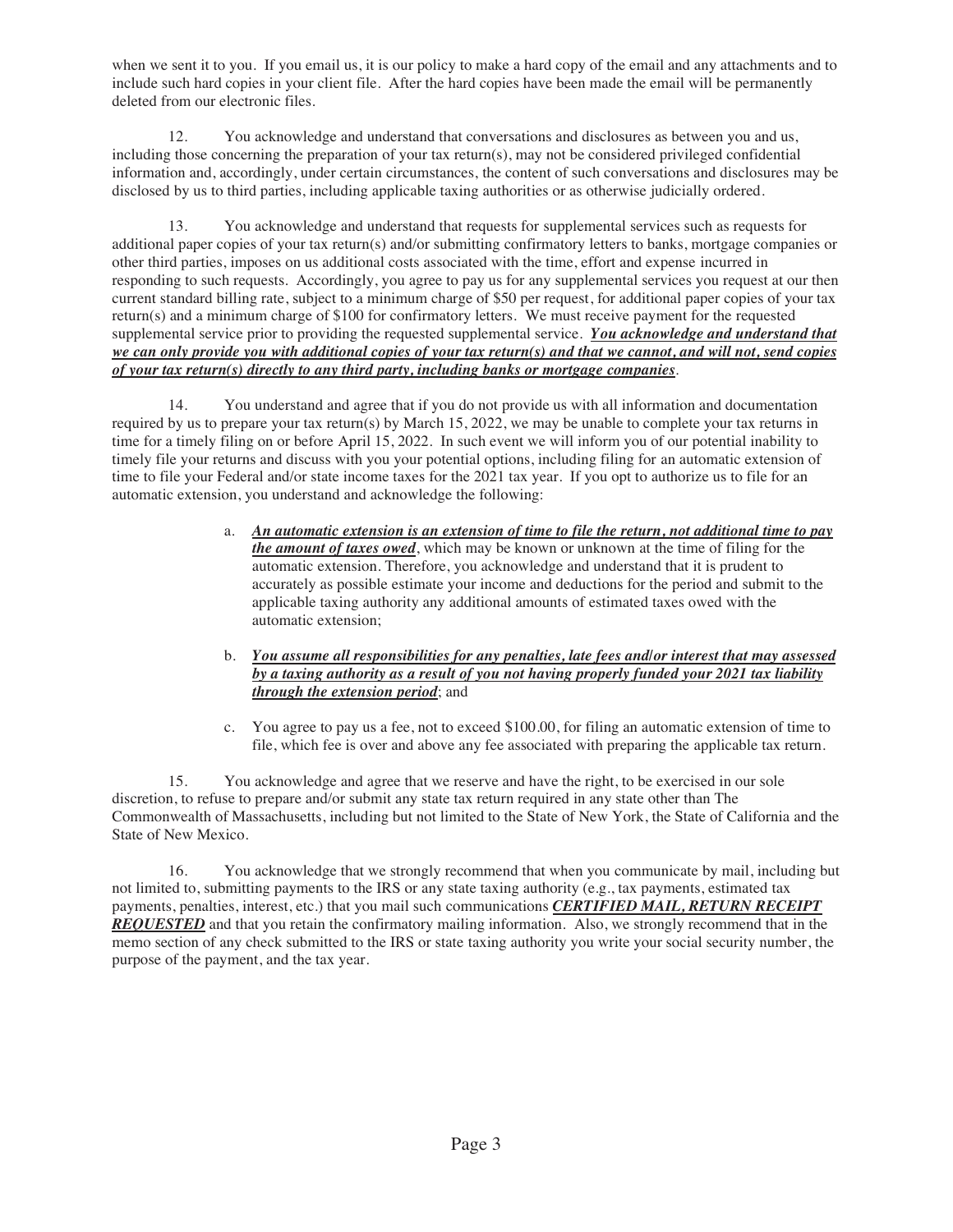when we sent it to you. If you email us, it is our policy to make a hard copy of the email and any attachments and to include such hard copies in your client file. After the hard copies have been made the email will be permanently deleted from our electronic files.

12. You acknowledge and understand that conversations and disclosures as between you and us, including those concerning the preparation of your tax return(s), may not be considered privileged confidential information and, accordingly, under certain circumstances, the content of such conversations and disclosures may be disclosed by us to third parties, including applicable taxing authorities or as otherwise judicially ordered.

13. You acknowledge and understand that requests for supplemental services such as requests for additional paper copies of your tax return(s) and/or submitting confirmatory letters to banks, mortgage companies or other third parties, imposes on us additional costs associated with the time, effort and expense incurred in responding to such requests. Accordingly, you agree to pay us for any supplemental services you request at our then current standard billing rate, subject to a minimum charge of \$50 per request, for additional paper copies of your tax return(s) and a minimum charge of \$100 for confirmatory letters. We must receive payment for the requested supplemental service prior to providing the requested supplemental service. *You acknowledge and understand that we can only provide you with additional copies of your tax return(s) and that we cannot, and will not, send copies of your tax return(s) directly to any third party, including banks or mortgage companies*.

14. You understand and agree that if you do not provide us with all information and documentation required by us to prepare your tax return(s) by March 15, 2022, we may be unable to complete your tax returns in time for a timely filing on or before April 15, 2022. In such event we will inform you of our potential inability to timely file your returns and discuss with you your potential options, including filing for an automatic extension of time to file your Federal and/or state income taxes for the 2021 tax year. If you opt to authorize us to file for an automatic extension, you understand and acknowledge the following:

- a. *An automatic extension is an extension of time to file the return, not additional time to pay the amount of taxes owed*, which may be known or unknown at the time of filing for the automatic extension. Therefore, you acknowledge and understand that it is prudent to accurately as possible estimate your income and deductions for the period and submit to the applicable taxing authority any additional amounts of estimated taxes owed with the automatic extension;
- b. *You assume all responsibilities for any penalties, late fees and/or interest that may assessed by a taxing authority as a result of you not having properly funded your 2021 tax liability through the extension period*; and
- c. You agree to pay us a fee, not to exceed \$100.00, for filing an automatic extension of time to file, which fee is over and above any fee associated with preparing the applicable tax return.

15. You acknowledge and agree that we reserve and have the right, to be exercised in our sole discretion, to refuse to prepare and/or submit any state tax return required in any state other than The Commonwealth of Massachusetts, including but not limited to the State of New York, the State of California and the State of New Mexico.

16. You acknowledge that we strongly recommend that when you communicate by mail, including but not limited to, submitting payments to the IRS or any state taxing authority (e.g., tax payments, estimated tax payments, penalties, interest, etc.) that you mail such communications *CERTIFIED MAIL, RETURN RECEIPT REQUESTED* and that you retain the confirmatory mailing information. Also, we strongly recommend that in the memo section of any check submitted to the IRS or state taxing authority you write your social security number, the purpose of the payment, and the tax year.